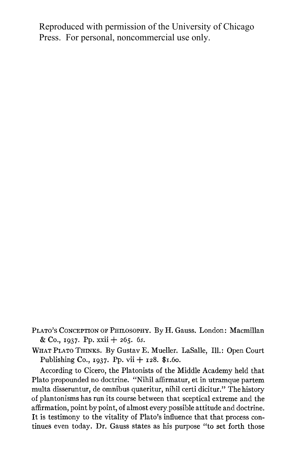Reproduced with permission of the University of Chicago Press. For personal, noncommercial use only.

**PLATO'S CONCEPTION OF PHILOSOPHY. By H. Gauss. London: Macmillan & Co., I937. Pp. XXii + 265. 6s.** 

**WHAT PLATO THINKS. By Gustav E. Mueller. LaSalle, Ill.: Open Court Publishing Co., I937. Pp. vii + I28. \$i.6o.** 

**According to Cicero, the Platonists of the Middle Academy held that Plato propounded no doctrine. "Nihil affirmatur, et in utramque partem multa disseruntur, de omnibus quaeritur, nihil certi dicitur." The history of plantonisms has run its course between that sceptical extreme and the affirmation, point by point, of almost every possible attitude and doctrine. It is testimony to the vitality of Plato's influence that that process continues even today. Dr. Gauss states as his purpose "to set forth those**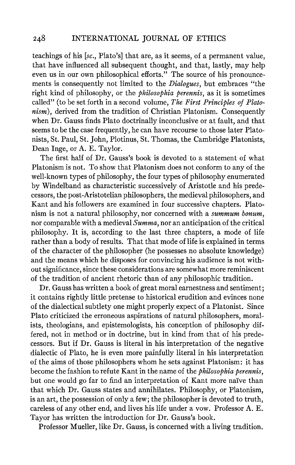**teachings of his [sc., Plato's] that are, as it seems, of a permanent value, that have influenced all subsequent thought, and that, lastly, may help even us in our own philosophical efforts." The source of his pronouncements is consequently not limited to the Dialogues, but embraces "the right kind of philosophy, or the philosophia perennis, as it is sometimes called" (to be set forth in a second volume, The First Principles of Platonism), derived from the tradition of Christian Platonism. Consequently when Dr. Gauss finds Plato doctrinally inconclusive or at fault, and that seems to be the case frequently, he can have recourse to those later Platonists, St. Paul, St. John, Plotinus, St. Thomas, the Cambridge Platonists, Dean Inge, or A. E. Taylor.** 

**The first half of Dr. Gauss's book is devoted to a statement of what Platonism is not. To show that Platonism does not conform to any of the well-known types of philosophy, the four types of philosophy enumerated by Windelband as characteristic successively of Aristotle and his predecessors, the post-Aristotelian philosophers, the medieval philosophers, and Kant and his followers are examined in four successive chapters. Platonism is not a natural philosophy, nor concerned with a summum bonum, nor comparable with a medieval Summa, nor an anticipation of the critical philosophy. It is, according to the last three chapters, a mode of life rather than a body of results. That that mode of life is explained in terms of the character of the philosopher (he possesses no absolute knowledge) and the means which he disposes for convincing his audience is not without significance, since these considerations are somewhat more reminiscent of the tradition of ancient rhetoric than of any philosophic tradition.** 

**Dr. Gauss has written a book of great moral earnestness and sentiment; it contains rightly little pretense to historical erudition and evinces none of the dialectical subtlety one might properly expect of a Platonist. Since Plato criticized the erroneous aspirations of natural philosophers, moralists, theologians, and epistemologists, his conception of philosophy differed, not in method or in doctrine, but in kind from that of his predecessors. But if Dr. Gauss is literal in his interpretation of the negative dialectic of Plato, he is even more painfully literal in his interpretation of the aims of those philosophers whom he sets against Platonism: it has become the fashion to refute Kant in the name of the philosophia perennis, but one would go far to find an interpretation of Kant more naive than that which Dr. Gauss states and annihilates. Philosophy, or Platonism, is an art, the possession of only a few; the philosopher is devoted to truth, careless of any other end, and lives his life under a vow. Professor A. E. Tayor has written the introduction for Dr. Gauss's book.** 

**Professor Mueller, like Dr. Gauss, is concerned with a living tradition.**